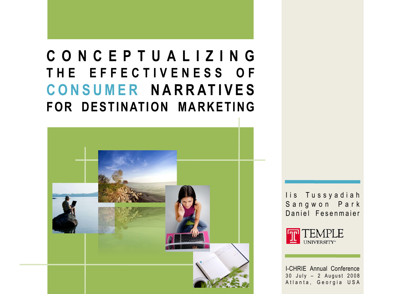# **C O N C E P T U A L I Z I N G T H E E F F E C T I V E N E S S O F C O N S U M E R N A R R AT I V E S FOR DESTINATION MARKETING**



lis Tussyadiah Sangwon Park Daniel Fesenmaier

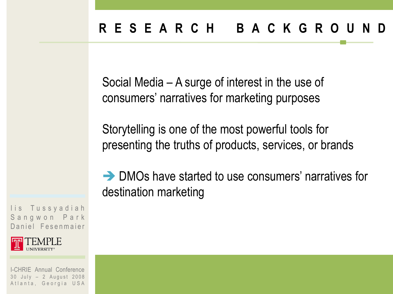Social Media – A surge of interest in the use of consumers' narratives for marketing purposes

Storytelling is one of the most powerful tools for presenting the truths of products, services, or brands

 $\rightarrow$  DMOs have started to use consumers' narratives for destination marketing

lis Tussyadiah Sangwon Park Daniel Fesenmaier

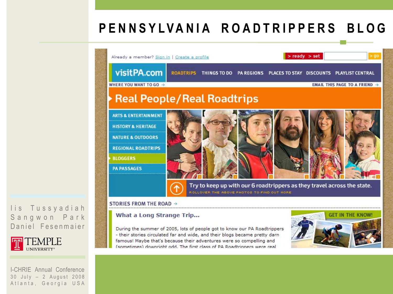## **P E N N S Y L V A N I A R O A D T R I P P E R S B L O G**



#### STORIES FROM THE ROAD →

#### What a Long Strange Trip...

During the summer of 2005, lots of people got to know our PA Roadtrippers - their stories circulated far and wide, and their blogs became pretty darn famous! Maybe that's because their adventures were so compelling and (sometimes) downright odd. The first class of PA Roadtrinners were real



#### lis Tussyadiah Sangwon Park Daniel Fesenmaier

**TEMPLE**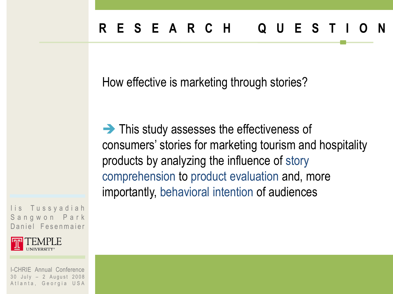How effective is marketing through stories?

This study assesses the effectiveness of consumers' stories for marketing tourism and hospitality products by analyzing the influence of story comprehension to product evaluation and, more importantly, behavioral intention of audiences

lis Tussyadiah Sangwon Park Daniel Fesenmaier

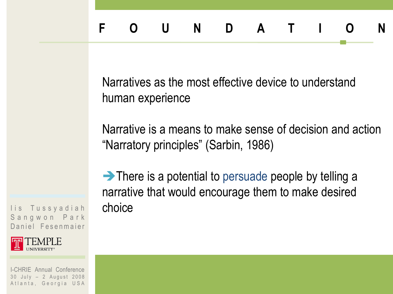Narratives as the most effective device to understand human experience

Narrative is a means to make sense of decision and action "Narratory principles" (Sarbin, 1986)

 $\rightarrow$  There is a potential to persuade people by telling a narrative that would encourage them to make desired choice

lis Tussyadiah Sangwon Park Daniel Fesenmaier

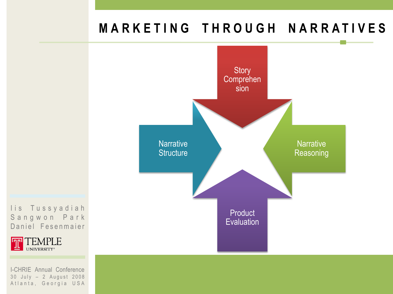## **M A R K E T I N G T H R O U G H N A R R A T I V E S**



I is Tussyadiah Sangwon Park Daniel Fesenmaier

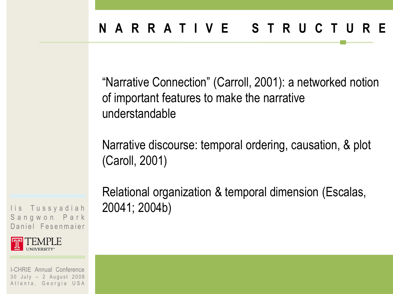"Narrative Connection" (Carroll, 2001): a networked notion of important features to make the narrative understandable

Narrative discourse: temporal ordering, causation, & plot (Caroll, 2001)

Relational organization & temporal dimension (Escalas, 20041; 2004b)

lis Tussyadiah Sangwon Park Daniel Fesenmaier

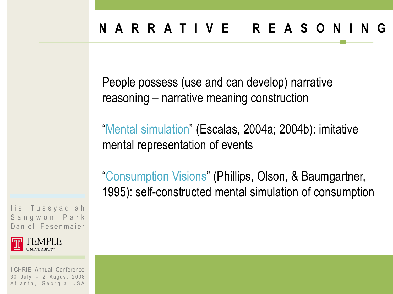People possess (use and can develop) narrative reasoning – narrative meaning construction

"Mental simulation" (Escalas, 2004a; 2004b): imitative mental representation of events

"Consumption Visions" (Phillips, Olson, & Baumgartner, 1995): self-constructed mental simulation of consumption

lis Tussyadiah Sangwon Park Daniel Fesenmaier

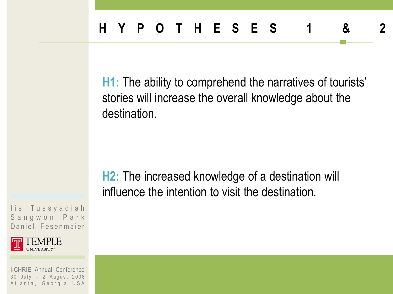**H1:** The ability to comprehend the narratives of tourists' stories will increase the overall knowledge about the destination.

**H2:** The increased knowledge of a destination will influence the intention to visit the destination.

lis Tussyadiah Sangwon Park Daniel Fesenmaier

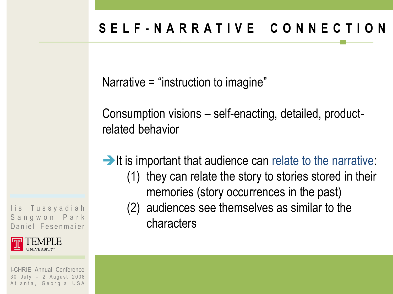Narrative = "instruction to imagine"

Consumption visions – self-enacting, detailed, productrelated behavior

 $\rightarrow$  It is important that audience can relate to the narrative: (1) they can relate the story to stories stored in their memories (story occurrences in the past)

(2) audiences see themselves as similar to the characters

lis Tussyadiah Sangwon Park Daniel Fesenmaier

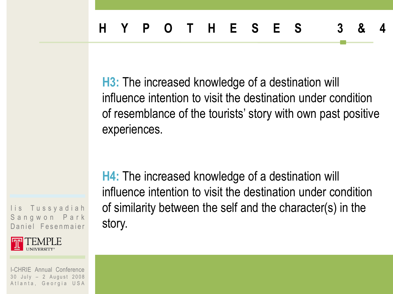**H3:** The increased knowledge of a destination will influence intention to visit the destination under condition of resemblance of the tourists' story with own past positive experiences.

lis Tussyadiah Sangwon Park Daniel Fesenmaier



I-CHRIE Annual Conference 30 July - 2 August 2008 Atlanta, Georgia USA

**H4:** The increased knowledge of a destination will influence intention to visit the destination under condition of similarity between the self and the character(s) in the story.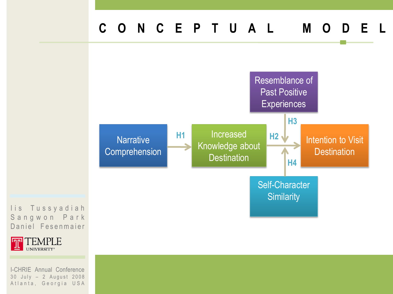#### **C O N C E P T U A L M O D E L**



Sangwon Park Daniel Fesenmaier

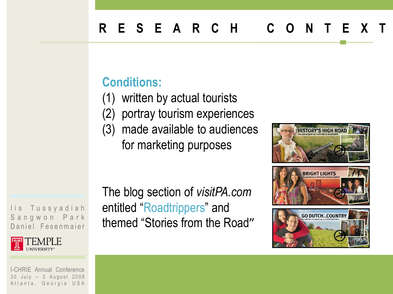### **Conditions:**

- (1) written by actual tourists
- (2) portray tourism experiences
- (3) made available to audiences for marketing purposes

The blog section of *visitPA.com*  entitled "Roadtrippers" and themed "Stories from the Road"



lis Tussyadiah Sangwon Park Daniel Fesenmaier

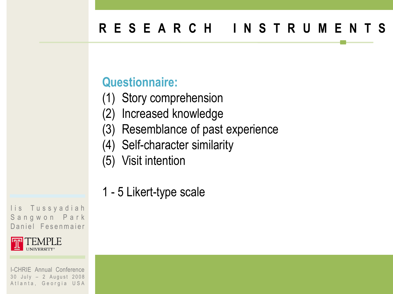## **R E S E A R C H I N S T R U M E N T S**

#### **Questionnaire:**

- (1) Story comprehension
- (2) Increased knowledge
- (3) Resemblance of past experience
- (4) Self-character similarity
- (5) Visit intention
- 1 5 Likert-type scale

lis Tussyadiah Sangwon Park Daniel Fesenmaier

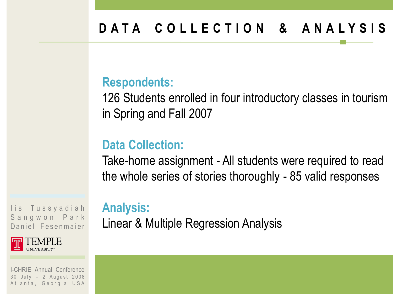## **D A T A C O L L E C T I O N & A N A L Y S I S**

#### **Respondents:**

126 Students enrolled in four introductory classes in tourism in Spring and Fall 2007

#### **Data Collection:**

**Analysis:**

Take-home assignment - All students were required to read the whole series of stories thoroughly - 85 valid responses

Linear & Multiple Regression Analysis

lis Tussyadiah Sangwon Park Daniel Fesenmaier

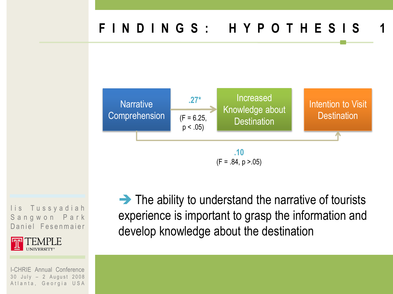

lis Tussyadiah Sangwon Park Daniel Fesenmaier

I EMPLE

I-CHRIE Annual Conference 30 July - 2 August 2008 Atlanta, Georgia USA

 $\rightarrow$  The ability to understand the narrative of tourists experience is important to grasp the information and develop knowledge about the destination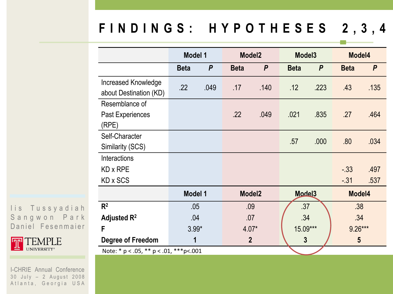## **F I N D I N G S : H Y P O T H E S E S 2 , 3 , 4**

|                                                   | <b>Model 1</b> |                  | Model <sub>2</sub> |                | Model <sub>3</sub> |              | Model4      |                  |  |
|---------------------------------------------------|----------------|------------------|--------------------|----------------|--------------------|--------------|-------------|------------------|--|
|                                                   | <b>Beta</b>    | $\boldsymbol{P}$ | <b>Beta</b>        | $\mathsf{P}$   | <b>Beta</b>        | $\mathsf{P}$ | <b>Beta</b> | $\boldsymbol{P}$ |  |
| <b>Increased Knowledge</b>                        | .22            | .049             | .17                | .140           | .12                | .223         | .43         | .135             |  |
| about Destination (KD)                            |                |                  |                    |                |                    |              |             |                  |  |
| Resemblance of                                    |                |                  |                    |                |                    |              |             |                  |  |
| Past Experiences                                  |                |                  | .22                | .049           | .021               | .835         | .27         | .464             |  |
| (RPE)                                             |                |                  |                    |                |                    |              |             |                  |  |
| Self-Character                                    |                |                  |                    |                | .57                | .000         | .80         | .034             |  |
| Similarity (SCS)                                  |                |                  |                    |                |                    |              |             |                  |  |
| <b>Interactions</b>                               |                |                  |                    |                |                    |              |             |                  |  |
| KD x RPE                                          |                |                  |                    |                |                    |              | $-.33$      | .497             |  |
| KD x SCS                                          |                |                  |                    |                |                    |              | $-.31$      | .537             |  |
|                                                   | <b>Model 1</b> |                  | Model <sub>2</sub> |                | Mode <sub>13</sub> |              | Model4      |                  |  |
| $R^2$                                             | .05            |                  | .09                |                | .37                |              | .38         |                  |  |
| Adjusted $R^2$                                    | .04            |                  | .07                |                | .34                |              | .34         |                  |  |
| F                                                 | $3.99*$        |                  | $4.07*$            |                | 15.09***           |              | $9.26***$   |                  |  |
| <b>Degree of Freedom</b>                          | 1              |                  |                    | $\overline{2}$ |                    | $\mathbf{3}$ |             | $5\phantom{1}$   |  |
| Note: * $p < .05$ , ** $p < .01$ , *** $p < .001$ |                |                  |                    |                |                    |              |             |                  |  |

I is Tussyadiah Sangwon Park Daniel Fesenmaier

TEMPLE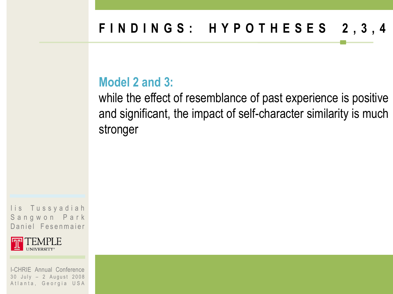#### **Model 2 and 3:**

while the effect of resemblance of past experience is positive and significant, the impact of self-character similarity is much stronger

lis Tussyadiah Sangwon Park Daniel Fesenmaier

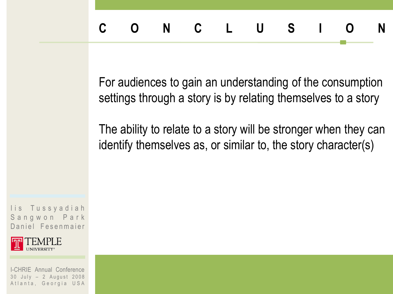For audiences to gain an understanding of the consumption settings through a story is by relating themselves to a story

The ability to relate to a story will be stronger when they can identify themselves as, or similar to, the story character(s)

lis Tussyadiah Sangwon Park Daniel Fesenmaier

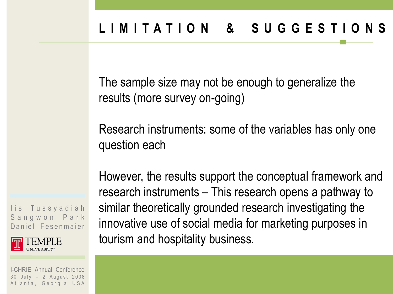The sample size may not be enough to generalize the results (more survey on-going)

Research instruments: some of the variables has only one question each

lis Tussyadiah Sangwon Park Daniel Fesenmaier

**INIVERSITY** 

I-CHRIE Annual Conference 30 July - 2 August 2008 Atlanta, Georgia USA However, the results support the conceptual framework and research instruments – This research opens a pathway to similar theoretically grounded research investigating the innovative use of social media for marketing purposes in tourism and hospitality business.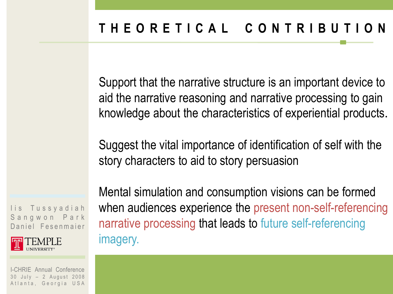Support that the narrative structure is an important device to aid the narrative reasoning and narrative processing to gain knowledge about the characteristics of experiential products.

Suggest the vital importance of identification of self with the story characters to aid to story persuasion

Mental simulation and consumption visions can be formed when audiences experience the present non-self-referencing narrative processing that leads to future self-referencing imagery.

lis Tussyadiah Sangwon Park Daniel Fesenmaier

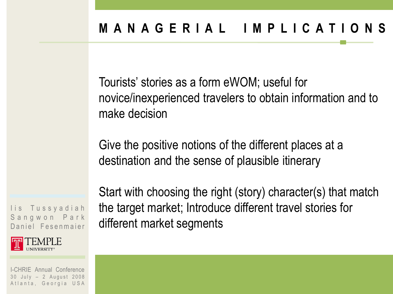Tourists' stories as a form eWOM; useful for novice/inexperienced travelers to obtain information and to make decision

Give the positive notions of the different places at a destination and the sense of plausible itinerary

Start with choosing the right (story) character(s) that match the target market; Introduce different travel stories for different market segments

lis Tussyadiah Sangwon Park Daniel Fesenmaier